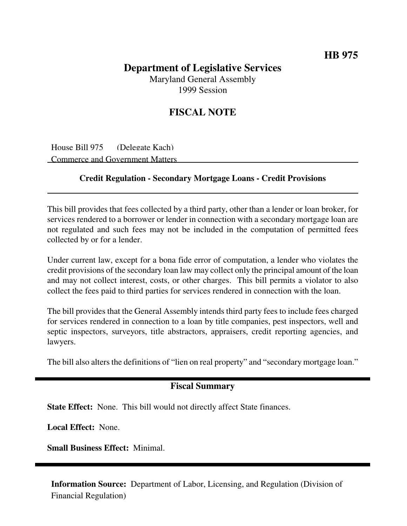## **Department of Legislative Services** Maryland General Assembly 1999 Session

## **FISCAL NOTE**

House Bill 975 (Delegate Kach) Commerce and Government Matters

## **Credit Regulation - Secondary Mortgage Loans - Credit Provisions**

This bill provides that fees collected by a third party, other than a lender or loan broker, for services rendered to a borrower or lender in connection with a secondary mortgage loan are not regulated and such fees may not be included in the computation of permitted fees collected by or for a lender.

Under current law, except for a bona fide error of computation, a lender who violates the credit provisions of the secondary loan law may collect only the principal amount of the loan and may not collect interest, costs, or other charges. This bill permits a violator to also collect the fees paid to third parties for services rendered in connection with the loan.

The bill provides that the General Assembly intends third party fees to include fees charged for services rendered in connection to a loan by title companies, pest inspectors, well and septic inspectors, surveyors, title abstractors, appraisers, credit reporting agencies, and lawyers.

The bill also alters the definitions of "lien on real property" and "secondary mortgage loan."

## **Fiscal Summary**

**State Effect:** None. This bill would not directly affect State finances.

**Local Effect:** None.

**Small Business Effect:** Minimal.

**Information Source:** Department of Labor, Licensing, and Regulation (Division of Financial Regulation)